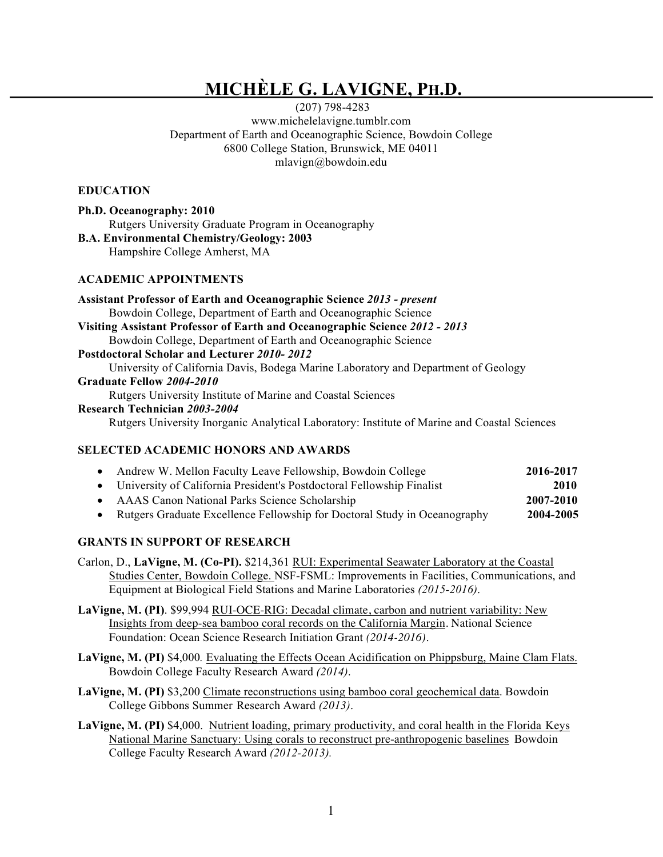# **MICHÈLE G. LAVIGNE, PH.D.**

(207) 798-4283 www.michelelavigne.tumblr.com Department of Earth and Oceanographic Science, Bowdoin College 6800 College Station, Brunswick, ME 04011 mlavign@bowdoin.edu

#### **EDUCATION**

| Ph.D. Oceanography: 2010                          |                                                     |  |  |
|---------------------------------------------------|-----------------------------------------------------|--|--|
|                                                   | Rutgers University Graduate Program in Oceanography |  |  |
| <b>B.A. Environmental Chemistry/Geology: 2003</b> |                                                     |  |  |
|                                                   | Hampshire College Amherst, MA                       |  |  |

## **ACADEMIC APPOINTMENTS**

#### **SELECTED ACADEMIC HONORS AND AWARDS**

| Andrew W. Mellon Faculty Leave Fellowship, Bowdoin College                | 2016-2017 |
|---------------------------------------------------------------------------|-----------|
| • University of California President's Postdoctoral Fellowship Finalist   | 2010      |
| • AAAS Canon National Parks Science Scholarship                           | 2007-2010 |
| Rutgers Graduate Excellence Fellowship for Doctoral Study in Oceanography | 2004-2005 |
|                                                                           |           |

## **GRANTS IN SUPPORT OF RESEARCH**

- Carlon, D., **LaVigne, M. (Co-PI).** \$214,361 RUI: Experimental Seawater Laboratory at the Coastal Studies Center, Bowdoin College. NSF-FSML: Improvements in Facilities, Communications, and Equipment at Biological Field Stations and Marine Laboratories *(2015-2016)*.
- **LaVigne, M. (PI)**. \$99,994 RUI-OCE-RIG: Decadal climate, carbon and nutrient variability: New Insights from deep-sea bamboo coral records on the California Margin. National Science Foundation: Ocean Science Research Initiation Grant *(2014-2016).*
- **LaVigne, M. (PI)** \$4,000*.* Evaluating the Effects Ocean Acidification on Phippsburg, Maine Clam Flats. Bowdoin College Faculty Research Award *(2014)*.
- **LaVigne, M. (PI)** \$3,200 Climate reconstructions using bamboo coral geochemical data. Bowdoin College Gibbons Summer Research Award *(2013)*.
- **LaVigne, M. (PI)** \$4,000. Nutrient loading, primary productivity, and coral health in the Florida Keys National Marine Sanctuary: Using corals to reconstruct pre-anthropogenic baselines Bowdoin College Faculty Research Award *(2012-2013).*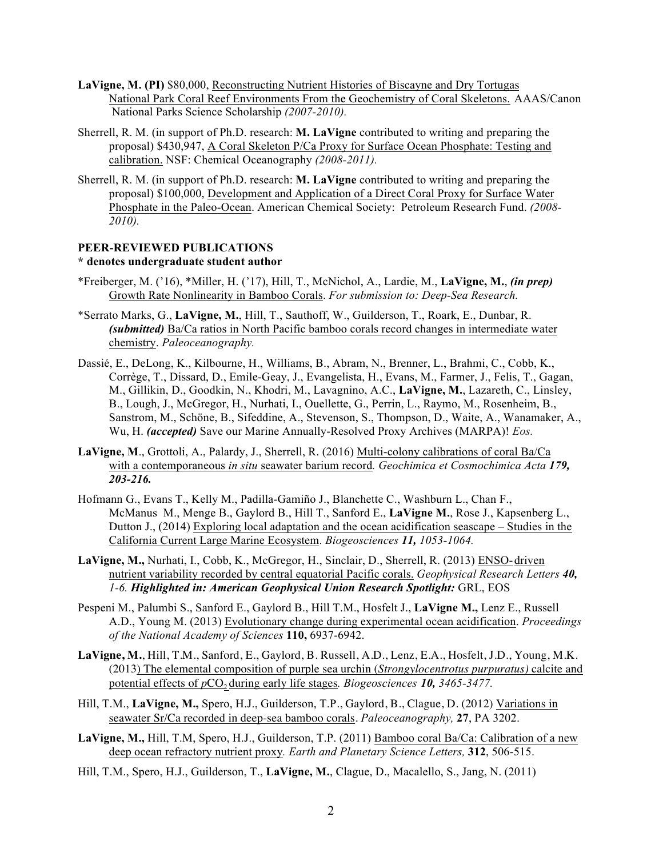- **LaVigne, M. (PI)** \$80,000, Reconstructing Nutrient Histories of Biscayne and Dry Tortugas National Park Coral Reef Environments From the Geochemistry of Coral Skeletons. AAAS/Canon National Parks Science Scholarship *(2007-2010).*
- Sherrell, R. M. (in support of Ph.D. research: **M. LaVigne** contributed to writing and preparing the proposal) \$430,947, A Coral Skeleton P/Ca Proxy for Surface Ocean Phosphate: Testing and calibration. NSF: Chemical Oceanography *(2008-2011).*
- Sherrell, R. M. (in support of Ph.D. research: **M. LaVigne** contributed to writing and preparing the proposal) \$100,000, Development and Application of a Direct Coral Proxy for Surface Water Phosphate in the Paleo-Ocean. American Chemical Society: Petroleum Research Fund. *(2008- 2010).*

#### **PEER-REVIEWED PUBLICATIONS \* denotes undergraduate student author**

- \*Freiberger, M. ('16), \*Miller, H. ('17), Hill, T., McNichol, A., Lardie, M., **LaVigne, M.**, *(in prep)* Growth Rate Nonlinearity in Bamboo Corals. *For submission to: Deep-Sea Research.*
- \*Serrato Marks, G., **LaVigne, M.**, Hill, T., Sauthoff, W., Guilderson, T., Roark, E., Dunbar, R. *(submitted)* Ba/Ca ratios in North Pacific bamboo corals record changes in intermediate water chemistry. *Paleoceanography.*
- Dassié, E., DeLong, K., Kilbourne, H., Williams, B., Abram, N., Brenner, L., Brahmi, C., Cobb, K., Corrège, T., Dissard, D., Emile-Geay, J., Evangelista, H., Evans, M., Farmer, J., Felis, T., Gagan, M., Gillikin, D., Goodkin, N., Khodri, M., Lavagnino, A.C., **LaVigne, M.**, Lazareth, C., Linsley, B., Lough, J., McGregor, H., Nurhati, I., Ouellette, G., Perrin, L., Raymo, M., Rosenheim, B., Sanstrom, M., Schöne, B., Sifeddine, A., Stevenson, S., Thompson, D., Waite, A., Wanamaker, A., Wu, H. *(accepted)* Save our Marine Annually-Resolved Proxy Archives (MARPA)! *Eos.*
- **LaVigne, M**., Grottoli, A., Palardy, J., Sherrell, R. (2016) Multi-colony calibrations of coral Ba/Ca with a contemporaneous *in situ* seawater barium record*. Geochimica et Cosmochimica Acta 179, 203-216.*
- Hofmann G., Evans T., Kelly M., Padilla-Gamiño J., Blanchette C., Washburn L., Chan F., McManus M., Menge B., Gaylord B., Hill T., Sanford E., **LaVigne M.**, Rose J., Kapsenberg L., Dutton J., (2014) Exploring local adaptation and the ocean acidification seascape – Studies in the California Current Large Marine Ecosystem. *Biogeosciences 11, 1053-1064.*
- **LaVigne, M.,** Nurhati, I., Cobb, K., McGregor, H., Sinclair, D., Sherrell, R. (2013) ENSO-driven nutrient variability recorded by central equatorial Pacific corals. *Geophysical Research Letters 40, 1-6. Highlighted in: American Geophysical Union Research Spotlight:* GRL, EOS
- Pespeni M., Palumbi S., Sanford E., Gaylord B., Hill T.M., Hosfelt J., **LaVigne M.,** Lenz E., Russell A.D., Young M. (2013) Evolutionary change during experimental ocean acidification. *Proceedings of the National Academy of Sciences* **110,** 6937-6942.
- **LaVigne, M.**, Hill, T.M., Sanford, E., Gaylord, B. Russell, A.D., Lenz, E.A., Hosfelt, J.D., Young, M.K. (2013) The elemental composition of purple sea urchin (*Strongylocentrotus purpuratus)* calcite and potential effects of  $pCO_2$  during early life stages. *Biogeosciences* 10, 3465-3477.
- Hill, T.M., **LaVigne, M.,** Spero, H.J., Guilderson, T.P., Gaylord, B., Clague, D. (2012) Variations in seawater Sr/Ca recorded in deep-sea bamboo corals. *Paleoceanography,* **27**, PA 3202.
- **LaVigne, M.,** Hill, T.M, Spero, H.J., Guilderson, T.P. (2011) Bamboo coral Ba/Ca: Calibration of a new deep ocean refractory nutrient proxy*. Earth and Planetary Science Letters,* **312**, 506-515.
- Hill, T.M., Spero, H.J., Guilderson, T., **LaVigne, M.**, Clague, D., Macalello, S., Jang, N. (2011)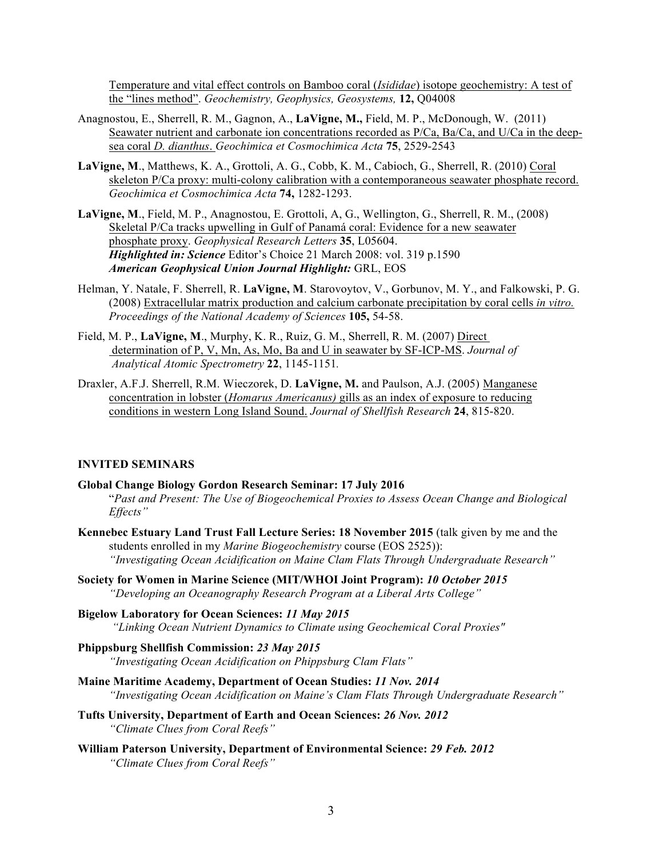Temperature and vital effect controls on Bamboo coral (*Isididae*) isotope geochemistry: A test of the "lines method". *Geochemistry, Geophysics, Geosystems,* **12,** Q04008

- Anagnostou, E., Sherrell, R. M., Gagnon, A., **LaVigne, M.,** Field, M. P., McDonough, W. (2011) Seawater nutrient and carbonate ion concentrations recorded as P/Ca, Ba/Ca, and U/Ca in the deepsea coral *D. dianthus*. *Geochimica et Cosmochimica Acta* **75**, 2529-2543
- **LaVigne, M**., Matthews, K. A., Grottoli, A. G., Cobb, K. M., Cabioch, G., Sherrell, R. (2010) Coral skeleton P/Ca proxy: multi-colony calibration with a contemporaneous seawater phosphate record. *Geochimica et Cosmochimica Acta* **74,** 1282-1293.
- **LaVigne, M**., Field, M. P., Anagnostou, E. Grottoli, A, G., Wellington, G., Sherrell, R. M., (2008) Skeletal P/Ca tracks upwelling in Gulf of Panamá coral: Evidence for a new seawater phosphate proxy. *Geophysical Research Letters* **35**, L05604. *Highlighted in: Science* Editor's Choice 21 March 2008: vol. 319 p.1590 *American Geophysical Union Journal Highlight:* GRL, EOS
- Helman, Y. Natale, F. Sherrell, R. **LaVigne, M**. Starovoytov, V., Gorbunov, M. Y., and Falkowski, P. G. (2008) Extracellular matrix production and calcium carbonate precipitation by coral cells *in vitro. Proceedings of the National Academy of Sciences* **105,** 54-58.
- Field, M. P., **LaVigne, M**., Murphy, K. R., Ruiz, G. M., Sherrell, R. M. (2007) Direct determination of P, V, Mn, As, Mo, Ba and U in seawater by SF-ICP-MS. *Journal of Analytical Atomic Spectrometry* **22**, 1145-1151*.*
- Draxler, A.F.J. Sherrell, R.M. Wieczorek, D. **LaVigne, M.** and Paulson, A.J. (2005) Manganese concentration in lobster (*Homarus Americanus)* gills as an index of exposure to reducing conditions in western Long Island Sound. *Journal of Shellfish Research* **24**, 815-820.

#### **INVITED SEMINARS**

- **Global Change Biology Gordon Research Seminar: 17 July 2016** "*Past and Present: The Use of Biogeochemical Proxies to Assess Ocean Change and Biological Effects"*
- **Kennebec Estuary Land Trust Fall Lecture Series: 18 November 2015** (talk given by me and the students enrolled in my *Marine Biogeochemistry* course (EOS 2525)): *"Investigating Ocean Acidification on Maine Clam Flats Through Undergraduate Research"*
- **Society for Women in Marine Science (MIT/WHOI Joint Program):** *10 October 2015 "Developing an Oceanography Research Program at a Liberal Arts College"*
- **Bigelow Laboratory for Ocean Sciences:** *11 May 2015 "Linking Ocean Nutrient Dynamics to Climate using Geochemical Coral Proxies"*
- **Phippsburg Shellfish Commission:** *23 May 2015 "Investigating Ocean Acidification on Phippsburg Clam Flats"*
- **Maine Maritime Academy, Department of Ocean Studies:** *11 Nov. 2014 "Investigating Ocean Acidification on Maine's Clam Flats Through Undergraduate Research"*
- **Tufts University, Department of Earth and Ocean Sciences:** *26 Nov. 2012 "Climate Clues from Coral Reefs"*
- **William Paterson University, Department of Environmental Science:** *29 Feb. 2012 "Climate Clues from Coral Reefs"*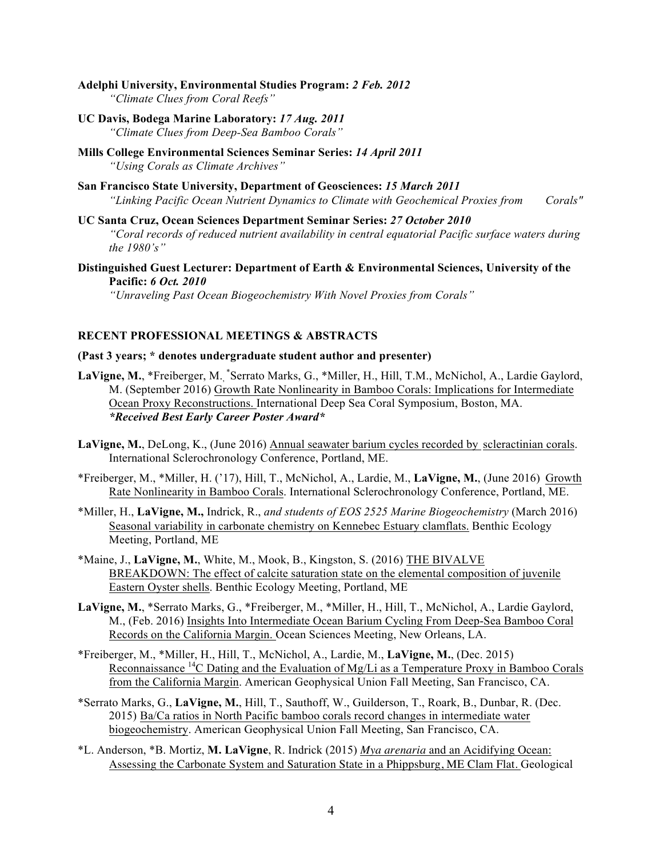- **Adelphi University, Environmental Studies Program:** *2 Feb. 2012 "Climate Clues from Coral Reefs"*
- **UC Davis, Bodega Marine Laboratory:** *17 Aug. 2011 "Climate Clues from Deep-Sea Bamboo Corals"*
- **Mills College Environmental Sciences Seminar Series:** *14 April 2011 "Using Corals as Climate Archives"*
- **San Francisco State University, Department of Geosciences:** *15 March 2011 "Linking Pacific Ocean Nutrient Dynamics to Climate with Geochemical Proxies from Corals"*
- **UC Santa Cruz, Ocean Sciences Department Seminar Series:** *27 October 2010 "Coral records of reduced nutrient availability in central equatorial Pacific surface waters during the 1980's"*
- **Distinguished Guest Lecturer: Department of Earth & Environmental Sciences, University of the Pacific:** *6 Oct. 2010 "Unraveling Past Ocean Biogeochemistry With Novel Proxies from Corals"*

#### **RECENT PROFESSIONAL MEETINGS & ABSTRACTS**

#### **(Past 3 years; \* denotes undergraduate student author and presenter)**

- LaVigne, M., \*Freiberger, M., \*Serrato Marks, G., \*Miller, H., Hill, T.M., McNichol, A., Lardie Gaylord, M. (September 2016) Growth Rate Nonlinearity in Bamboo Corals: Implications for Intermediate Ocean Proxy Reconstructions. International Deep Sea Coral Symposium, Boston, MA. *\*Received Best Early Career Poster Award\**
- **LaVigne, M.**, DeLong, K., (June 2016) Annual seawater barium cycles recorded by scleractinian corals. International Sclerochronology Conference, Portland, ME.
- \*Freiberger, M., \*Miller, H. ('17), Hill, T., McNichol, A., Lardie, M., **LaVigne, M.**, (June 2016) Growth Rate Nonlinearity in Bamboo Corals. International Sclerochronology Conference, Portland, ME.
- \*Miller, H., **LaVigne, M.,** Indrick, R., *and students of EOS 2525 Marine Biogeochemistry* (March 2016) Seasonal variability in carbonate chemistry on Kennebec Estuary clamflats. Benthic Ecology Meeting, Portland, ME
- \*Maine, J., **LaVigne, M.**, White, M., Mook, B., Kingston, S. (2016) THE BIVALVE BREAKDOWN: The effect of calcite saturation state on the elemental composition of juvenile Eastern Oyster shells. Benthic Ecology Meeting, Portland, ME
- **LaVigne, M.**, \*Serrato Marks, G., \*Freiberger, M., \*Miller, H., Hill, T., McNichol, A., Lardie Gaylord, M., (Feb. 2016) Insights Into Intermediate Ocean Barium Cycling From Deep-Sea Bamboo Coral Records on the California Margin. Ocean Sciences Meeting, New Orleans, LA.
- \*Freiberger, M., \*Miller, H., Hill, T., McNichol, A., Lardie, M., **LaVigne, M.**, (Dec. 2015) Reconnaissance <sup>14</sup>C Dating and the Evaluation of Mg/Li as a Temperature Proxy in Bamboo Corals from the California Margin. American Geophysical Union Fall Meeting, San Francisco, CA.
- \*Serrato Marks, G., **LaVigne, M.**, Hill, T., Sauthoff, W., Guilderson, T., Roark, B., Dunbar, R. (Dec. 2015) Ba/Ca ratios in North Pacific bamboo corals record changes in intermediate water biogeochemistry. American Geophysical Union Fall Meeting, San Francisco, CA.
- \*L. Anderson, \*B. Mortiz, **M. LaVigne**, R. Indrick (2015) *Mya arenaria* and an Acidifying Ocean: Assessing the Carbonate System and Saturation State in a Phippsburg, ME Clam Flat. Geological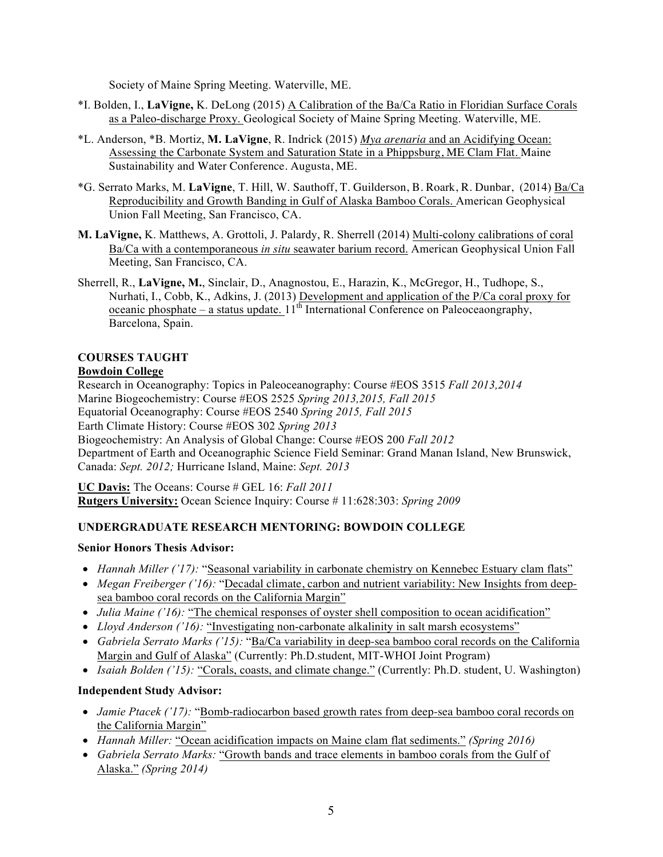Society of Maine Spring Meeting. Waterville, ME.

- \*I. Bolden, I., **LaVigne,** K. DeLong (2015) A Calibration of the Ba/Ca Ratio in Floridian Surface Corals as a Paleo-discharge Proxy. Geological Society of Maine Spring Meeting. Waterville, ME.
- \*L. Anderson, \*B. Mortiz, **M. LaVigne**, R. Indrick (2015) *Mya arenaria* and an Acidifying Ocean: Assessing the Carbonate System and Saturation State in a Phippsburg, ME Clam Flat. Maine Sustainability and Water Conference. Augusta, ME.
- \*G. Serrato Marks, M. **LaVigne**, T. Hill, W. Sauthoff, T. Guilderson, B. Roark, R. Dunbar, (2014) Ba/Ca Reproducibility and Growth Banding in Gulf of Alaska Bamboo Corals. American Geophysical Union Fall Meeting, San Francisco, CA.
- **M. LaVigne,** K. Matthews, A. Grottoli, J. Palardy, R. Sherrell (2014) Multi-colony calibrations of coral Ba/Ca with a contemporaneous *in situ* seawater barium record. American Geophysical Union Fall Meeting, San Francisco, CA.
- Sherrell, R., **LaVigne, M.**, Sinclair, D., Anagnostou, E., Harazin, K., McGregor, H., Tudhope, S., Nurhati, I., Cobb, K., Adkins, J. (2013) Development and application of the P/Ca coral proxy for oceanic phosphate – a status update.  $11^{th}$  International Conference on Paleoceaongraphy, Barcelona, Spain.

# **COURSES TAUGHT**

## **Bowdoin College**

Research in Oceanography: Topics in Paleoceanography: Course #EOS 3515 *Fall 2013,2014* Marine Biogeochemistry: Course #EOS 2525 *Spring 2013,2015, Fall 2015* Equatorial Oceanography: Course #EOS 2540 *Spring 2015, Fall 2015* Earth Climate History: Course #EOS 302 *Spring 2013* Biogeochemistry: An Analysis of Global Change: Course #EOS 200 *Fall 2012* Department of Earth and Oceanographic Science Field Seminar: Grand Manan Island, New Brunswick, Canada: *Sept. 2012;* Hurricane Island, Maine: *Sept. 2013*

**UC Davis:** The Oceans: Course # GEL 16: *Fall 2011* **Rutgers University:** Ocean Science Inquiry: Course # 11:628:303: *Spring 2009*

# **UNDERGRADUATE RESEARCH MENTORING: BOWDOIN COLLEGE**

## **Senior Honors Thesis Advisor:**

- *Hannah Miller ('17):* "Seasonal variability in carbonate chemistry on Kennebec Estuary clam flats"
- *Megan Freiberger ('16):* "Decadal climate, carbon and nutrient variability: New Insights from deepsea bamboo coral records on the California Margin"
- *Julia Maine ('16):* "The chemical responses of oyster shell composition to ocean acidification"
- *Lloyd Anderson ('16)*: "Investigating non-carbonate alkalinity in salt marsh ecosystems"
- *Gabriela Serrato Marks ('15):* "Ba/Ca variability in deep-sea bamboo coral records on the California Margin and Gulf of Alaska" (Currently: Ph.D.student, MIT-WHOI Joint Program)
- *Isaiah Bolden ('15):* "Corals, coasts, and climate change." (Currently: Ph.D. student, U. Washington)

## **Independent Study Advisor:**

- *Jamie Ptacek* ('17): "Bomb-radiocarbon based growth rates from deep-sea bamboo coral records on the California Margin"
- *Hannah Miller:* "Ocean acidification impacts on Maine clam flat sediments." *(Spring 2016)*
- *Gabriela Serrato Marks:* "Growth bands and trace elements in bamboo corals from the Gulf of Alaska." *(Spring 2014)*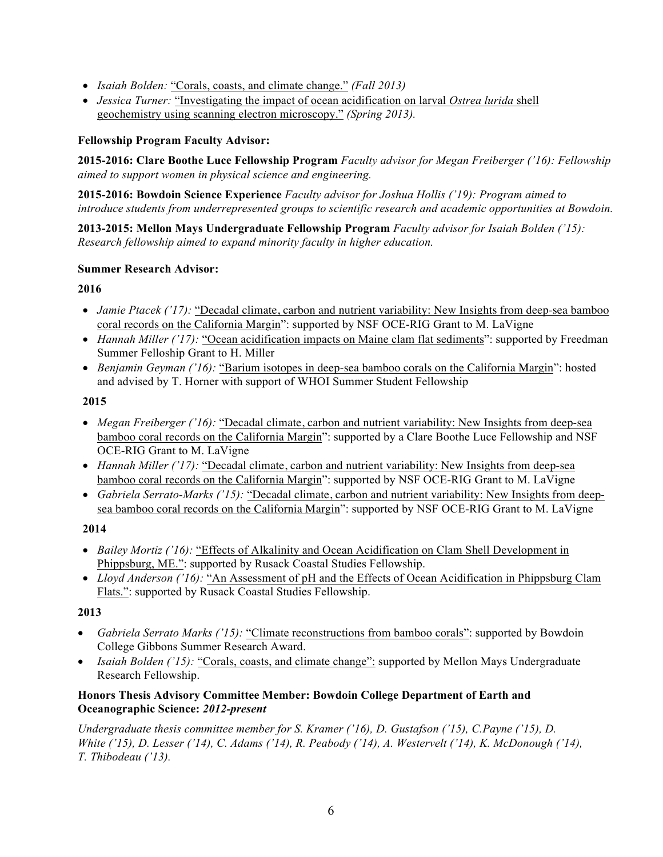- *Isaiah Bolden:* "Corals, coasts, and climate change." *(Fall 2013)*
- *Jessica Turner:* "Investigating the impact of ocean acidification on larval *Ostrea lurida* shell geochemistry using scanning electron microscopy." *(Spring 2013).*

## **Fellowship Program Faculty Advisor:**

**2015-2016: Clare Boothe Luce Fellowship Program** *Faculty advisor for Megan Freiberger ('16): Fellowship aimed to support women in physical science and engineering.*

**2015-2016: Bowdoin Science Experience** *Faculty advisor for Joshua Hollis ('19): Program aimed to introduce students from underrepresented groups to scientific research and academic opportunities at Bowdoin.* 

**2013-2015: Mellon Mays Undergraduate Fellowship Program** *Faculty advisor for Isaiah Bolden ('15): Research fellowship aimed to expand minority faculty in higher education.*

## **Summer Research Advisor:**

## **2016**

- *Jamie Ptacek* ('17): "Decadal climate, carbon and nutrient variability: New Insights from deep-sea bamboo coral records on the California Margin": supported by NSF OCE-RIG Grant to M. LaVigne
- *Hannah Miller ('17):* "Ocean acidification impacts on Maine clam flat sediments": supported by Freedman Summer Felloship Grant to H. Miller
- *Benjamin Geyman ('16):* "Barium isotopes in deep-sea bamboo corals on the California Margin": hosted and advised by T. Horner with support of WHOI Summer Student Fellowship

## **2015**

- *Megan Freiberger ('16):* "Decadal climate, carbon and nutrient variability: New Insights from deep-sea bamboo coral records on the California Margin": supported by a Clare Boothe Luce Fellowship and NSF OCE-RIG Grant to M. LaVigne
- *Hannah Miller ('17):* "Decadal climate, carbon and nutrient variability: New Insights from deep-sea bamboo coral records on the California Margin": supported by NSF OCE-RIG Grant to M. LaVigne
- *Gabriela Serrato-Marks ('15):* "Decadal climate, carbon and nutrient variability: New Insights from deepsea bamboo coral records on the California Margin": supported by NSF OCE-RIG Grant to M. LaVigne

## **2014**

- *Bailey Mortiz ('16):* "Effects of Alkalinity and Ocean Acidification on Clam Shell Development in Phippsburg, ME.": supported by Rusack Coastal Studies Fellowship.
- *Lloyd Anderson ('16):* "An Assessment of pH and the Effects of Ocean Acidification in Phippsburg Clam Flats.": supported by Rusack Coastal Studies Fellowship.

# **2013**

- *Gabriela Serrato Marks ('15):* "Climate reconstructions from bamboo corals": supported by Bowdoin College Gibbons Summer Research Award.
- *Isaiah Bolden ('15):* "Corals, coasts, and climate change": supported by Mellon Mays Undergraduate Research Fellowship.

## **Honors Thesis Advisory Committee Member: Bowdoin College Department of Earth and Oceanographic Science:** *2012-present*

*Undergraduate thesis committee member for S. Kramer ('16), D. Gustafson ('15), C.Payne ('15), D. White ('15), D. Lesser ('14), C. Adams ('14), R. Peabody ('14), A. Westervelt ('14), K. McDonough ('14), T. Thibodeau ('13).*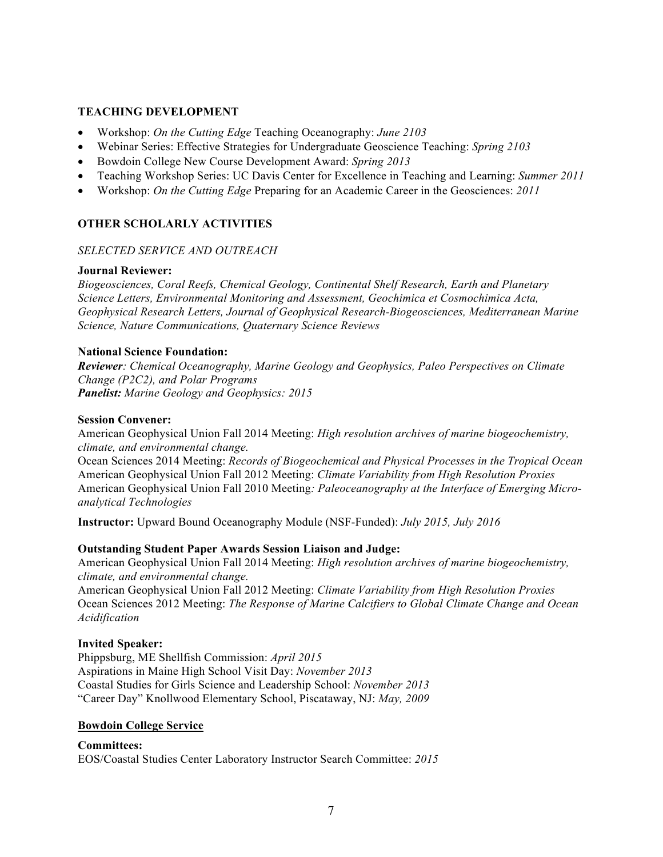## **TEACHING DEVELOPMENT**

- Workshop: *On the Cutting Edge* Teaching Oceanography: *June 2103*
- Webinar Series: Effective Strategies for Undergraduate Geoscience Teaching: *Spring 2103*
- Bowdoin College New Course Development Award: *Spring 2013*
- Teaching Workshop Series: UC Davis Center for Excellence in Teaching and Learning: *Summer 2011*
- Workshop: *On the Cutting Edge* Preparing for an Academic Career in the Geosciences: *2011*

## **OTHER SCHOLARLY ACTIVITIES**

## *SELECTED SERVICE AND OUTREACH*

#### **Journal Reviewer:**

*Biogeosciences, Coral Reefs, Chemical Geology, Continental Shelf Research, Earth and Planetary Science Letters, Environmental Monitoring and Assessment, Geochimica et Cosmochimica Acta, Geophysical Research Letters, Journal of Geophysical Research-Biogeosciences, Mediterranean Marine Science, Nature Communications, Quaternary Science Reviews*

#### **National Science Foundation:**

*Reviewer: Chemical Oceanography, Marine Geology and Geophysics, Paleo Perspectives on Climate Change (P2C2), and Polar Programs Panelist: Marine Geology and Geophysics: 2015*

#### **Session Convener:**

American Geophysical Union Fall 2014 Meeting: *High resolution archives of marine biogeochemistry, climate, and environmental change.*

Ocean Sciences 2014 Meeting: *Records of Biogeochemical and Physical Processes in the Tropical Ocean* American Geophysical Union Fall 2012 Meeting: *Climate Variability from High Resolution Proxies* American Geophysical Union Fall 2010 Meeting*: Paleoceanography at the Interface of Emerging Microanalytical Technologies*

**Instructor:** Upward Bound Oceanography Module (NSF-Funded): *July 2015, July 2016*

#### **Outstanding Student Paper Awards Session Liaison and Judge:**

American Geophysical Union Fall 2014 Meeting: *High resolution archives of marine biogeochemistry, climate, and environmental change.*

American Geophysical Union Fall 2012 Meeting: *Climate Variability from High Resolution Proxies* Ocean Sciences 2012 Meeting: *The Response of Marine Calcifiers to Global Climate Change and Ocean Acidification*

#### **Invited Speaker:**

Phippsburg, ME Shellfish Commission: *April 2015* Aspirations in Maine High School Visit Day: *November 2013* Coastal Studies for Girls Science and Leadership School: *November 2013* "Career Day" Knollwood Elementary School, Piscataway, NJ: *May, 2009*

#### **Bowdoin College Service**

**Committees:**  EOS/Coastal Studies Center Laboratory Instructor Search Committee: *2015*